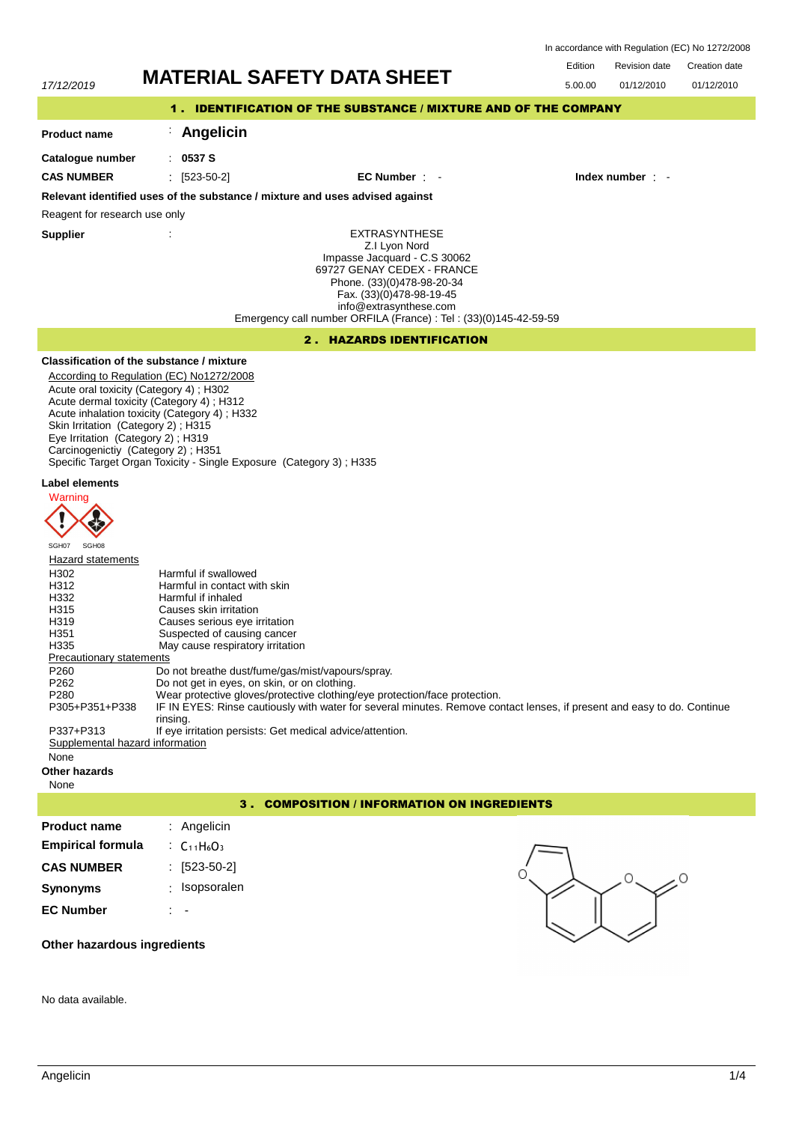Edition Revision date Creation date In accordance with Regulation (EC) No 1272/2008

01/12/2010

# 17/12/2019 **MATERIAL SAFETY DATA SHEET**

| 17/12/2019          |            |                                                                 | 5.00.00 | 01/12/2010       |
|---------------------|------------|-----------------------------------------------------------------|---------|------------------|
|                     |            | 1. IDENTIFICATION OF THE SUBSTANCE / MIXTURE AND OF THE COMPANY |         |                  |
| <b>Product name</b> | Angelicin  |                                                                 |         |                  |
| Catalogue number    | .0537S     |                                                                 |         |                  |
| <b>CAS NUMBER</b>   | [523-50-2] | $EC$ Number $\pm$                                               |         | Index number : - |

**Relevant identified uses of the substance / mixture and uses advised against**

Reagent for research use only

**Supplier** :

EXTRASYNTHESE Z.I Lyon Nord Impasse Jacquard - C.S 30062 69727 GENAY CEDEX - FRANCE Phone. (33)(0)478-98-20-34 Fax. (33)(0)478-98-19-45 info@extrasynthese.com Emergency call number ORFILA (France) : Tel : (33)(0)145-42-59-59

#### 2 . HAZARDS IDENTIFICATION

## **Classification of the substance / mixture**

According to Regulation (EC) No1272/2008 Acute oral toxicity (Category 4) ; H302 Acute dermal toxicity (Category 4) ; H312 Acute inhalation toxicity (Category 4) ; H332 Skin Irritation (Category 2); H315 Eye Irritation (Category 2) ; H319 Carcinogenictiy (Category 2) ; H351 Specific Target Organ Toxicity - Single Exposure (Category 3) ; H335

#### **Label elements**



| SGH07                                                                  | SGH08          |                                                                                                                         |  |  |
|------------------------------------------------------------------------|----------------|-------------------------------------------------------------------------------------------------------------------------|--|--|
| Hazard statements                                                      |                |                                                                                                                         |  |  |
| H302                                                                   |                | Harmful if swallowed                                                                                                    |  |  |
| H312                                                                   |                | Harmful in contact with skin                                                                                            |  |  |
| H332                                                                   |                | Harmful if inhaled                                                                                                      |  |  |
| H315                                                                   |                | Causes skin irritation                                                                                                  |  |  |
| H <sub>319</sub>                                                       |                | Causes serious eye irritation                                                                                           |  |  |
| H <sub>351</sub>                                                       |                | Suspected of causing cancer                                                                                             |  |  |
| H335                                                                   |                | May cause respiratory irritation                                                                                        |  |  |
| <b>Precautionary statements</b>                                        |                |                                                                                                                         |  |  |
| P <sub>260</sub>                                                       |                | Do not breathe dust/fume/gas/mist/vapours/spray.                                                                        |  |  |
| P <sub>262</sub>                                                       |                | Do not get in eyes, on skin, or on clothing.                                                                            |  |  |
| P <sub>280</sub>                                                       |                | Wear protective gloves/protective clothing/eye protection/face protection.                                              |  |  |
|                                                                        | P305+P351+P338 | IF IN EYES: Rinse cautiously with water for several minutes. Remove contact lenses, if present and easy to do. Continue |  |  |
|                                                                        |                | rinsing.                                                                                                                |  |  |
| If eye irritation persists: Get medical advice/attention.<br>P337+P313 |                |                                                                                                                         |  |  |
| Supplemental hazard information                                        |                |                                                                                                                         |  |  |
| None                                                                   |                |                                                                                                                         |  |  |

#### **Other hazards**

None

#### 3 . COMPOSITION / INFORMATION ON INGREDIENTS

| <b>Product name</b>      | : Angelicin                                                |   |
|--------------------------|------------------------------------------------------------|---|
| <b>Empirical formula</b> | $\therefore$ C <sub>11</sub> H <sub>6</sub> O <sub>3</sub> |   |
| <b>CAS NUMBER</b>        | $: [523-50-2]$                                             | 0 |
| <b>Synonyms</b>          | Isopsoralen<br>٠                                           |   |
| <b>EC Number</b>         | $\overline{\phantom{a}}$                                   |   |

**Other hazardous ingredients**

No data available.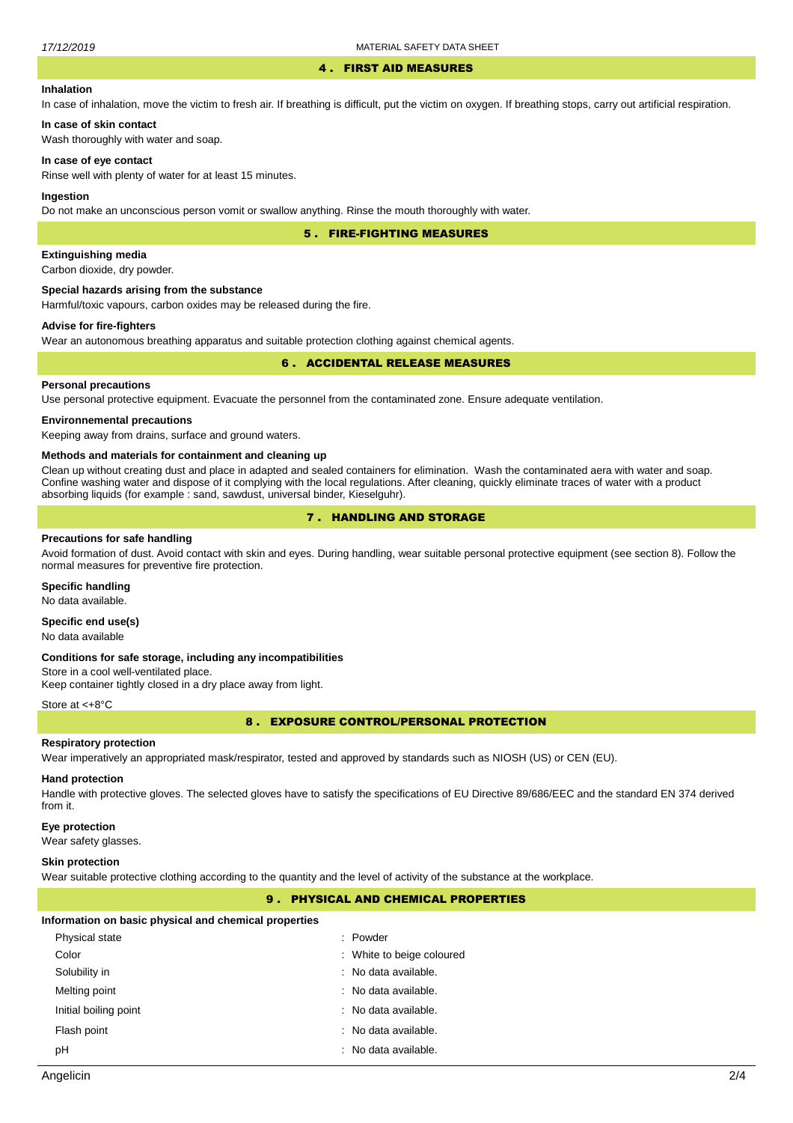#### 4 . FIRST AID MEASURES

#### **Inhalation**

In case of inhalation, move the victim to fresh air. If breathing is difficult, put the victim on oxygen. If breathing stops, carry out artificial respiration.

## **In case of skin contact**

Wash thoroughly with water and soap.

#### **In case of eye contact**

Rinse well with plenty of water for at least 15 minutes.

#### **Ingestion**

Do not make an unconscious person vomit or swallow anything. Rinse the mouth thoroughly with water.

5 . FIRE-FIGHTING MEASURES

#### **Extinguishing media**

Carbon dioxide, dry powder.

#### **Special hazards arising from the substance**

Harmful/toxic vapours, carbon oxides may be released during the fire.

#### **Advise for fire-fighters**

Wear an autonomous breathing apparatus and suitable protection clothing against chemical agents.

#### 6 . ACCIDENTAL RELEASE MEASURES

#### **Personal precautions**

Use personal protective equipment. Evacuate the personnel from the contaminated zone. Ensure adequate ventilation.

#### **Environnemental precautions**

Keeping away from drains, surface and ground waters.

#### **Methods and materials for containment and cleaning up**

Clean up without creating dust and place in adapted and sealed containers for elimination. Wash the contaminated aera with water and soap. Confine washing water and dispose of it complying with the local regulations. After cleaning, quickly eliminate traces of water with a product absorbing liquids (for example : sand, sawdust, universal binder, Kieselguhr).

## 7 . HANDLING AND STORAGE

#### **Precautions for safe handling**

Avoid formation of dust. Avoid contact with skin and eyes. During handling, wear suitable personal protective equipment (see section 8). Follow the normal measures for preventive fire protection.

#### **Specific handling**

No data available.

#### **Specific end use(s)**

No data available

#### **Conditions for safe storage, including any incompatibilities**

Store in a cool well-ventilated place. Keep container tightly closed in a dry place away from light.

#### Store at <+8°C

8 . EXPOSURE CONTROL/PERSONAL PROTECTION

#### **Respiratory protection**

Wear imperatively an appropriated mask/respirator, tested and approved by standards such as NIOSH (US) or CEN (EU).

#### **Hand protection**

Handle with protective gloves. The selected gloves have to satisfy the specifications of EU Directive 89/686/EEC and the standard EN 374 derived from it.

#### **Eye protection**

Wear safety glasses.

#### **Skin protection**

Wear suitable protective clothing according to the quantity and the level of activity of the substance at the workplace.

#### 9 . PHYSICAL AND CHEMICAL PROPERTIES

#### **Information on basic physical and chemical properties**

| Physical state        | : Powder                  |
|-----------------------|---------------------------|
| Color                 | : White to beige coloured |
| Solubility in         | : No data available.      |
| Melting point         | : No data available.      |
| Initial boiling point | : No data available.      |
| Flash point           | : No data available.      |
| рH                    | : No data available.      |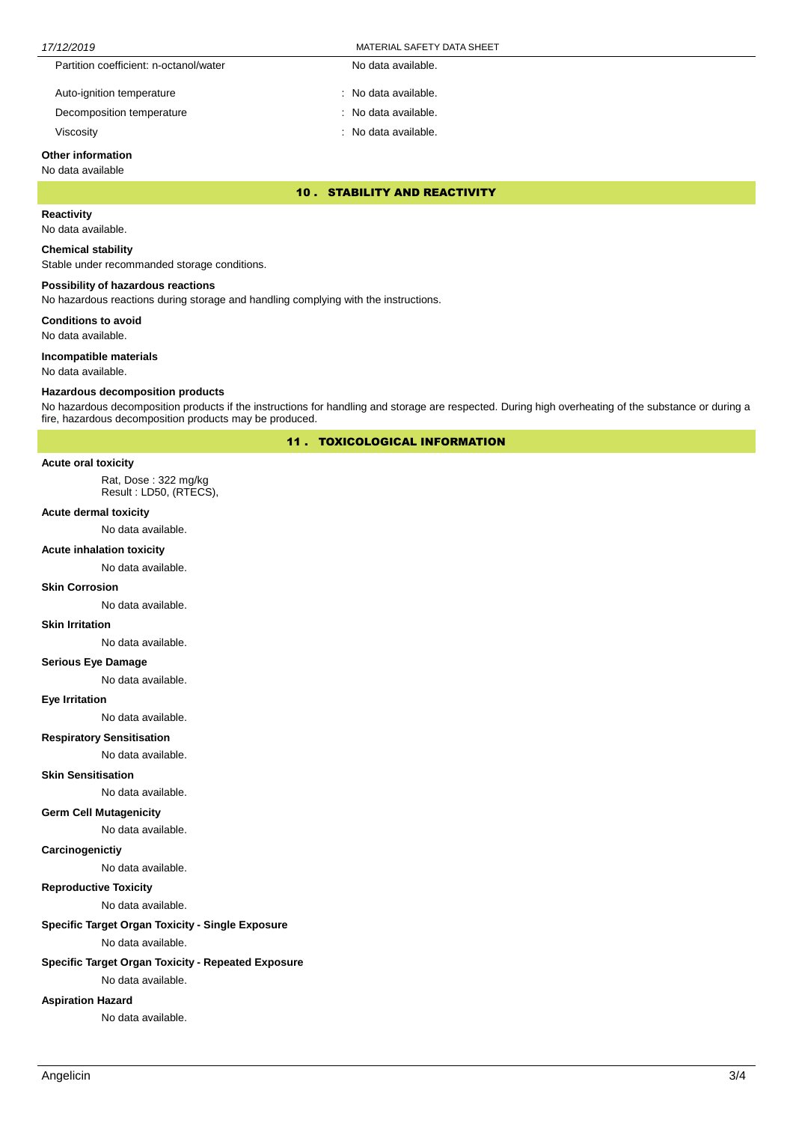| 17/12/2019                             | MATERIAL SAFETY DATA SHEET |
|----------------------------------------|----------------------------|
| Partition coefficient: n-octanol/water | No data available.         |
| Auto-ignition temperature              | : No data available.       |
| Decomposition temperature              | : No data available.       |

Viscosity : No data available.

## **Other information**

#### No data available

10 . STABILITY AND REACTIVITY

### **Reactivity**

No data available.

#### **Chemical stability**

Stable under recommanded storage conditions.

#### **Possibility of hazardous reactions**

No hazardous reactions during storage and handling complying with the instructions.

**Conditions to avoid**

No data available.

#### **Incompatible materials**

No data available.

#### **Hazardous decomposition products**

No hazardous decomposition products if the instructions for handling and storage are respected. During high overheating of the substance or during a fire, hazardous decomposition products may be produced.

11 . TOXICOLOGICAL INFORMATION

#### **Acute oral toxicity**

Rat, Dose : 322 mg/kg Result : LD50, (RTECS),

#### **Acute dermal toxicity**

No data available.

#### **Acute inhalation toxicity**

No data available.

#### **Skin Corrosion**

No data available.

#### **Skin Irritation**

No data available.

#### **Serious Eye Damage**

No data available.

#### **Eye Irritation**

No data available.

#### **Respiratory Sensitisation**

No data available.

#### **Skin Sensitisation**

No data available.

## **Germ Cell Mutagenicity**

No data available.

#### **Carcinogenictiy**

No data available.

#### **Reproductive Toxicity**

No data available.

#### **Specific Target Organ Toxicity - Single Exposure**

No data available.

#### **Specific Target Organ Toxicity - Repeated Exposure**

No data available.

#### **Aspiration Hazard**

No data available.